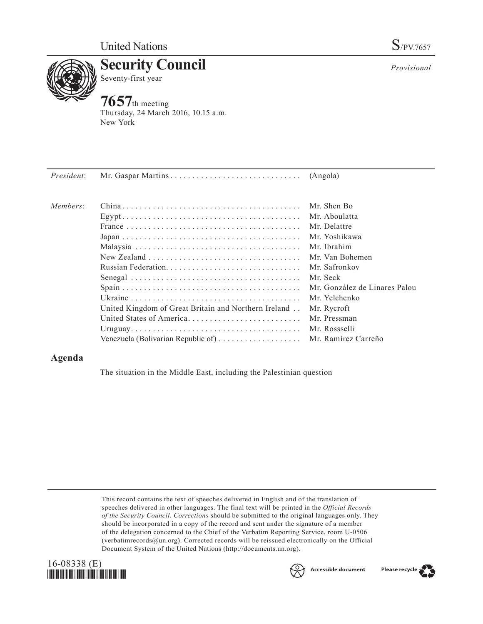

**Security Council** Seventy-first year

## **7657**th meeting

Thursday, 24 March 2016, 10.15 a.m. New York

| President: |                                                                    |                               |
|------------|--------------------------------------------------------------------|-------------------------------|
| Members:   |                                                                    | Mr. Shen Bo                   |
|            |                                                                    | Mr. Aboulatta                 |
|            |                                                                    | Mr. Delattre                  |
|            |                                                                    | Mr. Yoshikawa                 |
|            |                                                                    | Mr. Ibrahim                   |
|            |                                                                    | Mr. Van Bohemen               |
|            |                                                                    | Mr. Safronkov                 |
|            |                                                                    | Mr. Seck                      |
|            |                                                                    | Mr. González de Linares Palou |
|            |                                                                    | Mr. Yelchenko                 |
|            | United Kingdom of Great Britain and Northern Ireland               | Mr. Rycroft                   |
|            | United States of America                                           | Mr. Pressman                  |
|            |                                                                    | Mr. Rossselli                 |
|            | Venezuela (Bolivarian Republic of) $\dots \dots \dots \dots \dots$ | Mr. Ramírez Carreño           |
|            |                                                                    |                               |

## **Agenda**

The situation in the Middle East, including the Palestinian question

This record contains the text of speeches delivered in English and of the translation of speeches delivered in other languages. The final text will be printed in the *Official Records of the Security Council. Corrections* should be submitted to the original languages only. They should be incorporated in a copy of the record and sent under the signature of a member of the delegation concerned to the Chief of the Verbatim Reporting Service, room U-0506 (verbatimrecords $@un.org$ ). Corrected records will be reissued electronically on the Official Document System of the United Nations [\(http://documents.un.org\)](http://documents.un.org).





*Provisional*

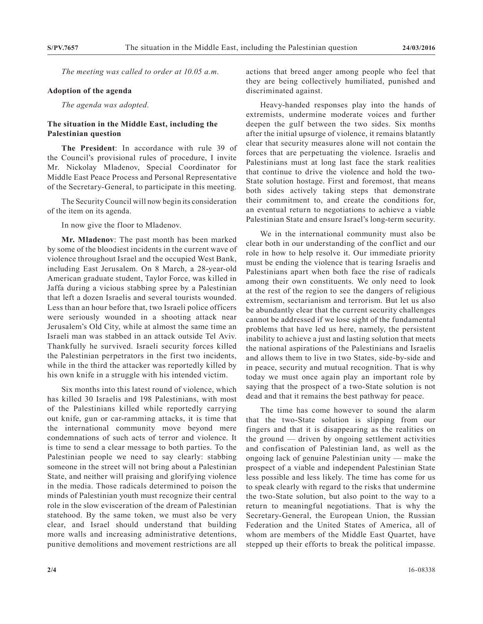*The meeting was called to order at 10.05 a.m.*

## **Adoption of the agenda**

*The agenda was adopted.*

## **The situation in the Middle East, including the Palestinian question**

**The President**: In accordance with rule 39 of the Council's provisional rules of procedure, I invite Mr. Nickolay Mladenov, Special Coordinator for Middle East Peace Process and Personal Representative of the Secretary-General, to participate in this meeting.

The Security Council will now begin its consideration of the item on its agenda.

In now give the floor to Mladenov.

**Mr. Mladenov**: The past month has been marked by some of the bloodiest incidents in the current wave of violence throughout Israel and the occupied West Bank, including East Jerusalem. On 8 March, a 28-year-old American graduate student, Taylor Force, was killed in Jaffa during a vicious stabbing spree by a Palestinian that left a dozen Israelis and several tourists wounded. Less than an hour before that, two Israeli police officers were seriously wounded in a shooting attack near Jerusalem's Old City, while at almost the same time an Israeli man was stabbed in an attack outside Tel Aviv. Thankfully he survived. Israeli security forces killed the Palestinian perpetrators in the first two incidents, while in the third the attacker was reportedly killed by his own knife in a struggle with his intended victim.

Six months into this latest round of violence, which has killed 30 Israelis and 198 Palestinians, with most of the Palestinians killed while reportedly carrying out knife, gun or car-ramming attacks, it is time that the international community move beyond mere condemnations of such acts of terror and violence. It is time to send a clear message to both parties. To the Palestinian people we need to say clearly: stabbing someone in the street will not bring about a Palestinian State, and neither will praising and glorifying violence in the media. Those radicals determined to poison the minds of Palestinian youth must recognize their central role in the slow evisceration of the dream of Palestinian statehood. By the same token, we must also be very clear, and Israel should understand that building more walls and increasing administrative detentions, punitive demolitions and movement restrictions are all

actions that breed anger among people who feel that they are being collectively humiliated, punished and discriminated against.

Heavy-handed responses play into the hands of extremists, undermine moderate voices and further deepen the gulf between the two sides. Six months after the initial upsurge of violence, it remains blatantly clear that security measures alone will not contain the forces that are perpetuating the violence. Israelis and Palestinians must at long last face the stark realities that continue to drive the violence and hold the two-State solution hostage. First and foremost, that means both sides actively taking steps that demonstrate their commitment to, and create the conditions for, an eventual return to negotiations to achieve a viable Palestinian State and ensure Israel's long-term security.

We in the international community must also be clear both in our understanding of the conflict and our role in how to help resolve it. Our immediate priority must be ending the violence that is tearing Israelis and Palestinians apart when both face the rise of radicals among their own constituents. We only need to look at the rest of the region to see the dangers of religious extremism, sectarianism and terrorism. But let us also be abundantly clear that the current security challenges cannot be addressed if we lose sight of the fundamental problems that have led us here, namely, the persistent inability to achieve a just and lasting solution that meets the national aspirations of the Palestinians and Israelis and allows them to live in two States, side-by-side and in peace, security and mutual recognition. That is why today we must once again play an important role by saying that the prospect of a two-State solution is not dead and that it remains the best pathway for peace.

The time has come however to sound the alarm that the two-State solution is slipping from our fingers and that it is disappearing as the realities on the ground — driven by ongoing settlement activities and confiscation of Palestinian land, as well as the ongoing lack of genuine Palestinian unity — make the prospect of a viable and independent Palestinian State less possible and less likely. The time has come for us to speak clearly with regard to the risks that undermine the two-State solution, but also point to the way to a return to meaningful negotiations. That is why the Secretary-General, the European Union, the Russian Federation and the United States of America, all of whom are members of the Middle East Quartet, have stepped up their efforts to break the political impasse.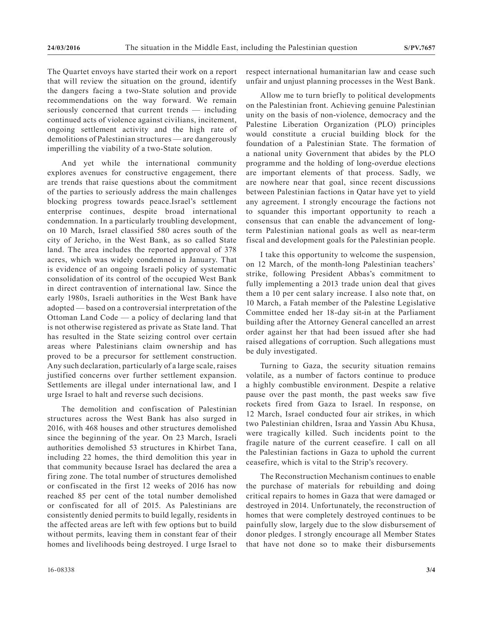The Quartet envoys have started their work on a report that will review the situation on the ground, identify the dangers facing a two-State solution and provide recommendations on the way forward. We remain seriously concerned that current trends — including continued acts of violence against civilians, incitement, ongoing settlement activity and the high rate of demolitions of Palestinian structures — are dangerously imperilling the viability of a two-State solution.

And yet while the international community explores avenues for constructive engagement, there are trends that raise questions about the commitment of the parties to seriously address the main challenges blocking progress towards peace.Israel's settlement enterprise continues, despite broad international condemnation. In a particularly troubling development, on 10 March, Israel classified 580 acres south of the city of Jericho, in the West Bank, as so called State land. The area includes the reported approval of 378 acres, which was widely condemned in January. That is evidence of an ongoing Israeli policy of systematic consolidation of its control of the occupied West Bank in direct contravention of international law. Since the early 1980s, Israeli authorities in the West Bank have adopted — based on a controversial interpretation of the Ottoman Land Code — a policy of declaring land that is not otherwise registered as private as State land. That has resulted in the State seizing control over certain areas where Palestinians claim ownership and has proved to be a precursor for settlement construction. Any such declaration, particularly of a large scale, raises justified concerns over further settlement expansion. Settlements are illegal under international law, and I urge Israel to halt and reverse such decisions.

The demolition and confiscation of Palestinian structures across the West Bank has also surged in 2016, with 468 houses and other structures demolished since the beginning of the year. On 23 March, Israeli authorities demolished 53 structures in Khirbet Tana, including 22 homes, the third demolition this year in that community because Israel has declared the area a firing zone. The total number of structures demolished or confiscated in the first 12 weeks of 2016 has now reached 85 per cent of the total number demolished or confiscated for all of 2015. As Palestinians are consistently denied permits to build legally, residents in the affected areas are left with few options but to build without permits, leaving them in constant fear of their homes and livelihoods being destroyed. I urge Israel to

respect international humanitarian law and cease such unfair and unjust planning processes in the West Bank.

Allow me to turn briefly to political developments on the Palestinian front. Achieving genuine Palestinian unity on the basis of non-violence, democracy and the Palestine Liberation Organization (PLO) principles would constitute a crucial building block for the foundation of a Palestinian State. The formation of a national unity Government that abides by the PLO programme and the holding of long-overdue elections are important elements of that process. Sadly, we are nowhere near that goal, since recent discussions between Palestinian factions in Qatar have yet to yield any agreement. I strongly encourage the factions not to squander this important opportunity to reach a consensus that can enable the advancement of longterm Palestinian national goals as well as near-term fiscal and development goals for the Palestinian people.

I take this opportunity to welcome the suspension, on 12 March, of the month-long Palestinian teachers' strike, following President Abbas's commitment to fully implementing a 2013 trade union deal that gives them a 10 per cent salary increase. I also note that, on 10 March, a Fatah member of the Palestine Legislative Committee ended her 18-day sit-in at the Parliament building after the Attorney General cancelled an arrest order against her that had been issued after she had raised allegations of corruption. Such allegations must be duly investigated.

Turning to Gaza, the security situation remains volatile, as a number of factors continue to produce a highly combustible environment. Despite a relative pause over the past month, the past weeks saw five rockets fired from Gaza to Israel. In response, on 12 March, Israel conducted four air strikes, in which two Palestinian children, Israa and Yassin Abu Khusa, were tragically killed. Such incidents point to the fragile nature of the current ceasefire. I call on all the Palestinian factions in Gaza to uphold the current ceasefire, which is vital to the Strip's recovery.

The Reconstruction Mechanism continues to enable the purchase of materials for rebuilding and doing critical repairs to homes in Gaza that were damaged or destroyed in 2014. Unfortunately, the reconstruction of homes that were completely destroyed continues to be painfully slow, largely due to the slow disbursement of donor pledges. I strongly encourage all Member States that have not done so to make their disbursements